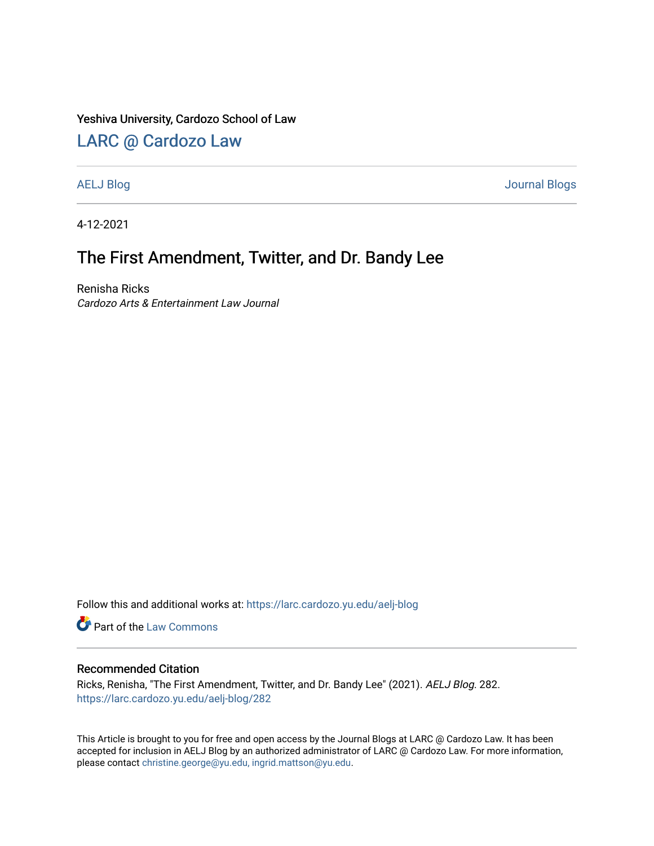#### Yeshiva University, Cardozo School of Law

### [LARC @ Cardozo Law](https://larc.cardozo.yu.edu/)

[AELJ Blog](https://larc.cardozo.yu.edu/aelj-blog) [Journal Blogs](https://larc.cardozo.yu.edu/journal-blogs) 

4-12-2021

## The First Amendment, Twitter, and Dr. Bandy Lee

Renisha Ricks Cardozo Arts & Entertainment Law Journal

Follow this and additional works at: [https://larc.cardozo.yu.edu/aelj-blog](https://larc.cardozo.yu.edu/aelj-blog?utm_source=larc.cardozo.yu.edu%2Faelj-blog%2F282&utm_medium=PDF&utm_campaign=PDFCoverPages) 

Part of the [Law Commons](http://network.bepress.com/hgg/discipline/578?utm_source=larc.cardozo.yu.edu%2Faelj-blog%2F282&utm_medium=PDF&utm_campaign=PDFCoverPages)

#### Recommended Citation

Ricks, Renisha, "The First Amendment, Twitter, and Dr. Bandy Lee" (2021). AELJ Blog. 282. [https://larc.cardozo.yu.edu/aelj-blog/282](https://larc.cardozo.yu.edu/aelj-blog/282?utm_source=larc.cardozo.yu.edu%2Faelj-blog%2F282&utm_medium=PDF&utm_campaign=PDFCoverPages) 

This Article is brought to you for free and open access by the Journal Blogs at LARC @ Cardozo Law. It has been accepted for inclusion in AELJ Blog by an authorized administrator of LARC @ Cardozo Law. For more information, please contact [christine.george@yu.edu, ingrid.mattson@yu.edu.](mailto:christine.george@yu.edu,%20ingrid.mattson@yu.edu)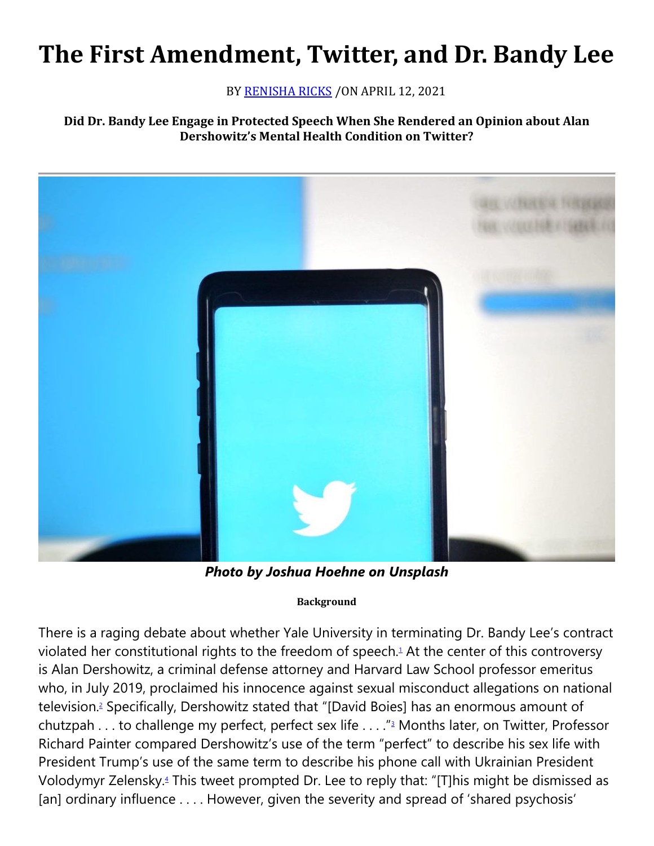# **The First Amendment, Twitter, and Dr. Bandy Lee**

BY [RENISHA RICKS](https://cardozoaelj.com/author/renisha-ricks/) / ON APRIL 12, 2021

#### **Did Dr. Bandy Lee Engage in Protected Speech When She Rendered an Opinion about Alan Dershowitz's Mental Health Condition on Twitter?**



*Photo by Joshua Hoehne on Unsplash*

#### **Background**

There is a raging debate about whether Yale University in terminating Dr. Bandy Lee's contract violated her constitutional rights to the freedom of speech[.](https://cardozoaelj.com/2021/04/12/the-first-amendment-twitter-and-dr-bandy-lee/#easy-footnote-bottom-1-6897)<sup>1</sup> At the center of this controversy is Alan Dershowitz, a criminal defense attorney and Harvard Law School professor emeritus who, in July 2019, proclaimed his innocence against sexual misconduct allegations on national television[.](https://cardozoaelj.com/2021/04/12/the-first-amendment-twitter-and-dr-bandy-lee/#easy-footnote-bottom-2-6897)<sup>2</sup> Specifically, Dershowitz stated that "[David Boies] has an enormous amount of chutzpah . . . to challenge my perfect, perfect sex life . . . . ["](https://cardozoaelj.com/2021/04/12/the-first-amendment-twitter-and-dr-bandy-lee/#easy-footnote-bottom-3-6897)<sup>3</sup> Months later, on Twitter, Professor Richard Painter compared Dershowitz's use of the term "perfect" to describe his sex life with President Trump's use of the same term to describe his phone call with Ukrainian President Volodymyr Zelensky[.](https://cardozoaelj.com/2021/04/12/the-first-amendment-twitter-and-dr-bandy-lee/#easy-footnote-bottom-4-6897)<sup>4</sup> This tweet prompted Dr. Lee to reply that: "[T]his might be dismissed as [an] ordinary influence . . . . However, given the severity and spread of 'shared psychosis'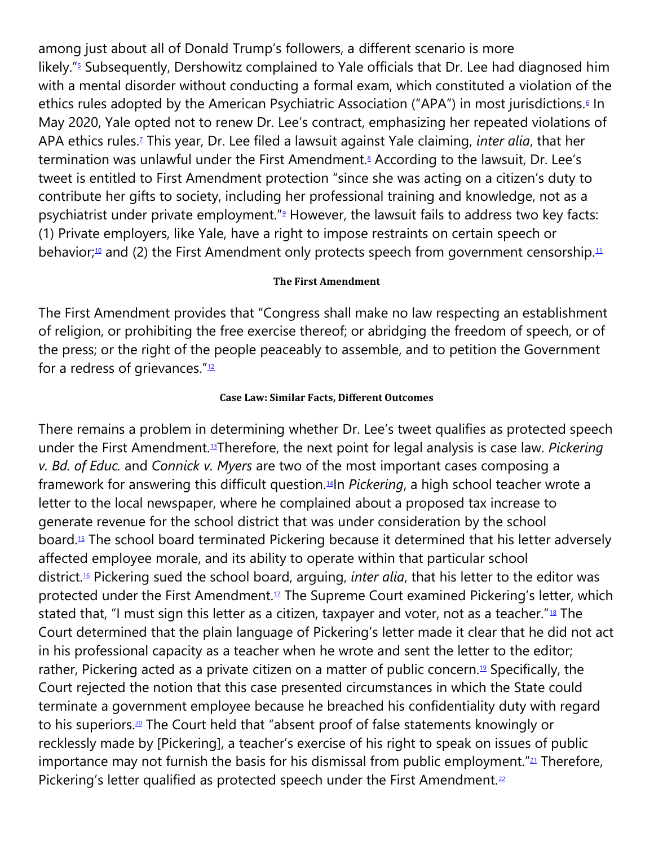among just about all of Donald Trump's followers, a different scenario is more likely.["](https://cardozoaelj.com/2021/04/12/the-first-amendment-twitter-and-dr-bandy-lee/#easy-footnote-bottom-5-6897)<sup>5</sup> Subsequently, Dershowitz complained to Yale officials that Dr. Lee had diagnosed him with a mental disorder without conducting a formal exam, which constituted a violation of the ethics rules adopted by the American Psychiatric Association ("APA") in most jurisdictions[.](https://cardozoaelj.com/2021/04/12/the-first-amendment-twitter-and-dr-bandy-lee/#easy-footnote-bottom-6-6897)<sup>6</sup> In May 2020, Yale opted not to renew Dr. Lee's contract, emphasizing her repeated violations of APA ethics rules[.](https://cardozoaelj.com/2021/04/12/the-first-amendment-twitter-and-dr-bandy-lee/#easy-footnote-bottom-7-6897)<sup>7</sup> This year, Dr. Lee filed a lawsuit against Yale claiming, *inter alia*, that her termination was unlawful under the First Amendment[.](https://cardozoaelj.com/2021/04/12/the-first-amendment-twitter-and-dr-bandy-lee/#easy-footnote-bottom-8-6897)<sup>8</sup> According to the lawsuit, Dr. Lee's tweet is entitled to First Amendment protection "since she was acting on a citizen's duty to contribute her gifts to society, including her professional training and knowledge, not as a psychiatrist under private employment.["](https://cardozoaelj.com/2021/04/12/the-first-amendment-twitter-and-dr-bandy-lee/#easy-footnote-bottom-9-6897)<sup>9</sup> However, the lawsuit fails to address two key facts: (1) Private employers, like Yale, have a right to impose restraints on certain speech or behavior;<sup>[10](https://cardozoaelj.com/2021/04/12/the-first-amendment-twitter-and-dr-bandy-lee/#easy-footnote-bottom-10-6897)</sup> and (2) the First Amendment only protects speech from government censorship.<sup>[11](https://cardozoaelj.com/2021/04/12/the-first-amendment-twitter-and-dr-bandy-lee/#easy-footnote-bottom-11-6897)</sup>

#### **The First Amendment**

The First Amendment provides that "Congress shall make no law respecting an establishment of religion, or prohibiting the free exercise thereof; or abridging the freedom of speech, or of the press; or the right of the people peaceably to assemble, and to petition the Government for a redress of grievances." $12$ 

#### **Case Law: Similar Facts, Different Outcomes**

There remains a problem in determining whether Dr. Lee's tweet qualifies as protected speech under the First Amendment.[13](https://cardozoaelj.com/2021/04/12/the-first-amendment-twitter-and-dr-bandy-lee/#easy-footnote-bottom-13-6897)Therefore, the next point for legal analysis is case law. *Pickering v. Bd. of Educ.* and *Connick v. Myers* are two of the most important cases composing a framework for answering this difficult question.[14](https://cardozoaelj.com/2021/04/12/the-first-amendment-twitter-and-dr-bandy-lee/#easy-footnote-bottom-14-6897)In *Pickering*, a high school teacher wrote a letter to the local newspaper, where he complained about a proposed tax increase to generate revenue for the school district that was under consideration by the school board.[15](https://cardozoaelj.com/2021/04/12/the-first-amendment-twitter-and-dr-bandy-lee/#easy-footnote-bottom-15-6897) The school board terminated Pickering because it determined that his letter adversely affected employee morale, and its ability to operate within that particular school district.[16](https://cardozoaelj.com/2021/04/12/the-first-amendment-twitter-and-dr-bandy-lee/#easy-footnote-bottom-16-6897) Pickering sued the school board, arguing, *inter alia*, that his letter to the editor was protected under the First Amendment.<sup>[17](https://cardozoaelj.com/2021/04/12/the-first-amendment-twitter-and-dr-bandy-lee/#easy-footnote-bottom-17-6897)</sup> The Supreme Court examined Pickering's letter, which stated that, "I must sign this letter as a citizen, taxpayer and voter, not as a teacher."<sup>[18](https://cardozoaelj.com/2021/04/12/the-first-amendment-twitter-and-dr-bandy-lee/#easy-footnote-bottom-18-6897)</sup> The Court determined that the plain language of Pickering's letter made it clear that he did not act in his professional capacity as a teacher when he wrote and sent the letter to the editor; rather, Pickering acted as a private citizen on a matter of public concern.<sup>[19](https://cardozoaelj.com/2021/04/12/the-first-amendment-twitter-and-dr-bandy-lee/#easy-footnote-bottom-19-6897)</sup> Specifically, the Court rejected the notion that this case presented circumstances in which the State could terminate a government employee because he breached his confidentiality duty with regard to his superiors.<sup>[20](https://cardozoaelj.com/2021/04/12/the-first-amendment-twitter-and-dr-bandy-lee/#easy-footnote-bottom-20-6897)</sup> The Court held that "absent proof of false statements knowingly or recklessly made by [Pickering], a teacher's exercise of his right to speak on issues of public importance may not furnish the basis for his dismissal from public employment." $21$  Therefore, Pickering's letter qualified as protected speech under the First Amendment. $22$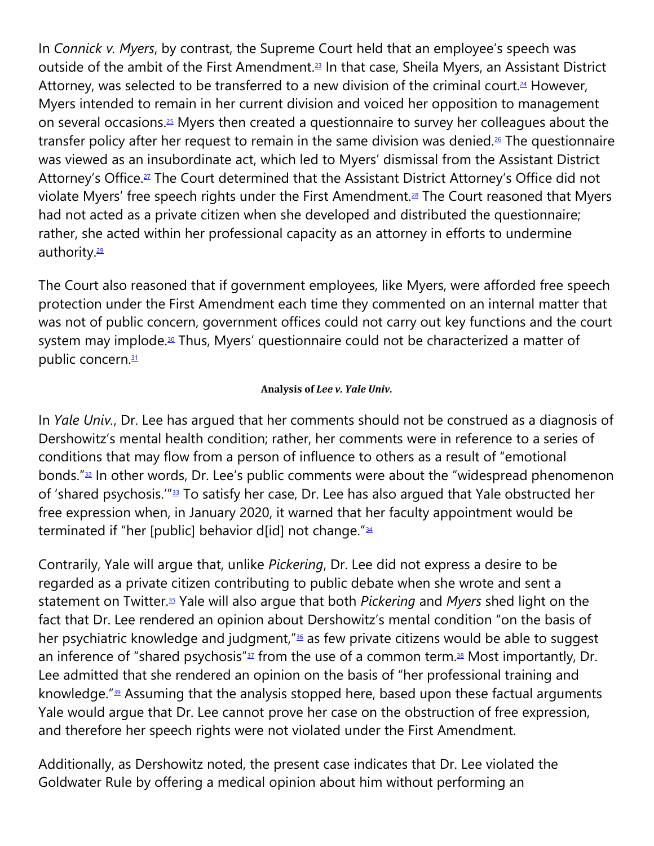In *Connick v. Myers*, by contrast, the Supreme Court held that an employee's speech was outside of the ambit of the First Amendment.<sup>[23](https://cardozoaelj.com/2021/04/12/the-first-amendment-twitter-and-dr-bandy-lee/#easy-footnote-bottom-23-6897)</sup> In that case, Sheila Myers, an Assistant District Attorney, was selected to be transferred to a new division of the criminal court.<sup>[24](https://cardozoaelj.com/2021/04/12/the-first-amendment-twitter-and-dr-bandy-lee/#easy-footnote-bottom-24-6897)</sup> However, Myers intended to remain in her current division and voiced her opposition to management on several occasions.[25](https://cardozoaelj.com/2021/04/12/the-first-amendment-twitter-and-dr-bandy-lee/#easy-footnote-bottom-25-6897) Myers then created a questionnaire to survey her colleagues about the transfer policy after her request to remain in the same division was denied.<sup>[26](https://cardozoaelj.com/2021/04/12/the-first-amendment-twitter-and-dr-bandy-lee/#easy-footnote-bottom-26-6897)</sup> The questionnaire was viewed as an insubordinate act, which led to Myers' dismissal from the Assistant District Attorney's Office.<sup>[27](https://cardozoaelj.com/2021/04/12/the-first-amendment-twitter-and-dr-bandy-lee/#easy-footnote-bottom-27-6897)</sup> The Court determined that the Assistant District Attorney's Office did not violate Myers' free speech rights under the First Amendment.<sup>[28](https://cardozoaelj.com/2021/04/12/the-first-amendment-twitter-and-dr-bandy-lee/#easy-footnote-bottom-28-6897)</sup> The Court reasoned that Myers had not acted as a private citizen when she developed and distributed the questionnaire; rather, she acted within her professional capacity as an attorney in efforts to undermine authority.<sup>[29](https://cardozoaelj.com/2021/04/12/the-first-amendment-twitter-and-dr-bandy-lee/#easy-footnote-bottom-29-6897)</sup>

The Court also reasoned that if government employees, like Myers, were afforded free speech protection under the First Amendment each time they commented on an internal matter that was not of public concern, government offices could not carry out key functions and the court system may implode.<sup>[30](https://cardozoaelj.com/2021/04/12/the-first-amendment-twitter-and-dr-bandy-lee/#easy-footnote-bottom-30-6897)</sup> Thus, Myers' questionnaire could not be characterized a matter of public concern.<sup>[31](https://cardozoaelj.com/2021/04/12/the-first-amendment-twitter-and-dr-bandy-lee/#easy-footnote-bottom-31-6897)</sup>

#### **Analysis of** *Lee v. Yale Univ.*

In *Yale Univ.*, Dr. Lee has argued that her comments should not be construed as a diagnosis of Dershowitz's mental health condition; rather, her comments were in reference to a series of conditions that may flow from a person of influence to others as a result of "emotional bonds."[32](https://cardozoaelj.com/2021/04/12/the-first-amendment-twitter-and-dr-bandy-lee/#easy-footnote-bottom-32-6897) In other words, Dr. Lee's public comments were about the "widespread phenomenon of 'shared psychosis.'"[33](https://cardozoaelj.com/2021/04/12/the-first-amendment-twitter-and-dr-bandy-lee/#easy-footnote-bottom-33-6897) To satisfy her case, Dr. Lee has also argued that Yale obstructed her free expression when, in January 2020, it warned that her faculty appointment would be terminated if "her [public] behavior d[id] not change."<sup>[34](https://cardozoaelj.com/2021/04/12/the-first-amendment-twitter-and-dr-bandy-lee/#easy-footnote-bottom-34-6897)</sup>

Contrarily, Yale will argue that, unlike *Pickering*, Dr. Lee did not express a desire to be regarded as a private citizen contributing to public debate when she wrote and sent a statement on Twitter.[35](https://cardozoaelj.com/2021/04/12/the-first-amendment-twitter-and-dr-bandy-lee/#easy-footnote-bottom-35-6897) Yale will also argue that both *Pickering* and *Myers* shed light on the fact that Dr. Lee rendered an opinion about Dershowitz's mental condition "on the basis of her psychiatric knowledge and judgment,"<sup>[36](https://cardozoaelj.com/2021/04/12/the-first-amendment-twitter-and-dr-bandy-lee/#easy-footnote-bottom-36-6897)</sup> as few private citizens would be able to suggest an inference of "shared psychosis" $37$  from the use of a common term. $38$  Most importantly, Dr. Lee admitted that she rendered an opinion on the basis of "her professional training and knowledge." $39$  Assuming that the analysis stopped here, based upon these factual arguments Yale would argue that Dr. Lee cannot prove her case on the obstruction of free expression, and therefore her speech rights were not violated under the First Amendment.

Additionally, as Dershowitz noted, the present case indicates that Dr. Lee violated the Goldwater Rule by offering a medical opinion about him without performing an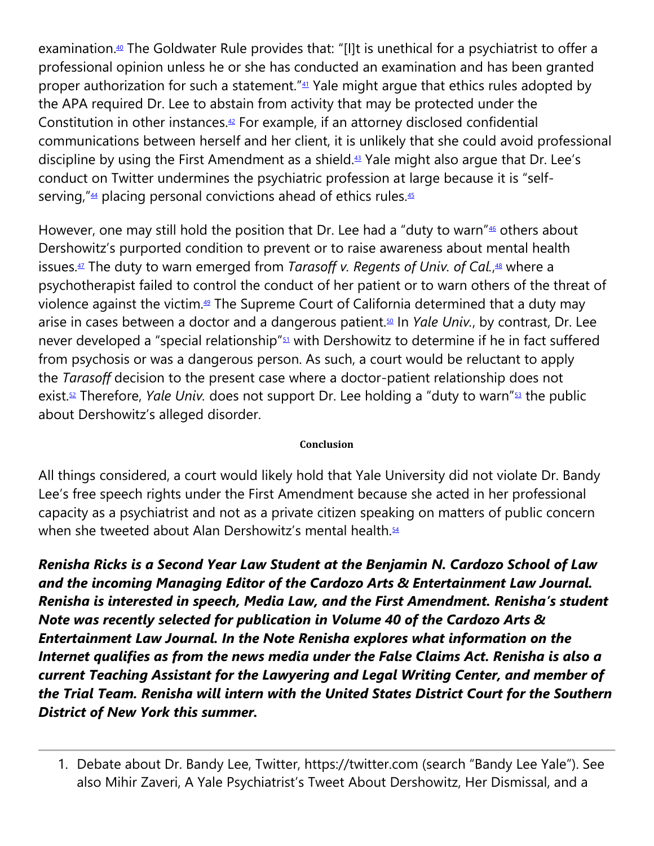examination.<sup>[40](https://cardozoaelj.com/2021/04/12/the-first-amendment-twitter-and-dr-bandy-lee/#easy-footnote-bottom-40-6897)</sup> The Goldwater Rule provides that: "[I]t is unethical for a psychiatrist to offer a professional opinion unless he or she has conducted an examination and has been granted proper authorization for such a statement."<sup>[41](https://cardozoaelj.com/2021/04/12/the-first-amendment-twitter-and-dr-bandy-lee/#easy-footnote-bottom-41-6897)</sup> Yale might argue that ethics rules adopted by the APA required Dr. Lee to abstain from activity that may be protected under the Constitution in other instances. $42$  For example, if an attorney disclosed confidential communications between herself and her client, it is unlikely that she could avoid professional discipline by using the First Amendment as a shield.[43](https://cardozoaelj.com/2021/04/12/the-first-amendment-twitter-and-dr-bandy-lee/#easy-footnote-bottom-43-6897) Yale might also argue that Dr. Lee's conduct on Twitter undermines the psychiatric profession at large because it is "self-serving,"<sup>[44](https://cardozoaelj.com/2021/04/12/the-first-amendment-twitter-and-dr-bandy-lee/#easy-footnote-bottom-44-6897)</sup> placing personal convictions ahead of ethics rules.<sup>[45](https://cardozoaelj.com/2021/04/12/the-first-amendment-twitter-and-dr-bandy-lee/#easy-footnote-bottom-45-6897)</sup>

However, one may still hold the position that Dr. Lee had a "duty to warn" $46$  others about Dershowitz's purported condition to prevent or to raise awareness about mental health issues.[47](https://cardozoaelj.com/2021/04/12/the-first-amendment-twitter-and-dr-bandy-lee/#easy-footnote-bottom-47-6897) The duty to warn emerged from *Tarasoff v. Regents of Univ. of Cal.*, [48](https://cardozoaelj.com/2021/04/12/the-first-amendment-twitter-and-dr-bandy-lee/#easy-footnote-bottom-48-6897) where a psychotherapist failed to control the conduct of her patient or to warn others of the threat of violence against the victim.[49](https://cardozoaelj.com/2021/04/12/the-first-amendment-twitter-and-dr-bandy-lee/#easy-footnote-bottom-49-6897) The Supreme Court of California determined that a duty may arise in cases between a doctor and a dangerous patient.[50](https://cardozoaelj.com/2021/04/12/the-first-amendment-twitter-and-dr-bandy-lee/#easy-footnote-bottom-50-6897) In *Yale Univ.*, by contrast, Dr. Lee never developed a "special relationship"<sup>[51](https://cardozoaelj.com/2021/04/12/the-first-amendment-twitter-and-dr-bandy-lee/#easy-footnote-bottom-51-6897)</sup> with Dershowitz to determine if he in fact suffered from psychosis or was a dangerous person. As such, a court would be reluctant to apply the *Tarasoff* decision to the present case where a doctor-patient relationship does not exist.[52](https://cardozoaelj.com/2021/04/12/the-first-amendment-twitter-and-dr-bandy-lee/#easy-footnote-bottom-52-6897) Therefore, *Yale Univ.* does not support Dr. Lee holding a "duty to warn"[53](https://cardozoaelj.com/2021/04/12/the-first-amendment-twitter-and-dr-bandy-lee/#easy-footnote-bottom-53-6897) the public about Dershowitz's alleged disorder.

#### **Conclusion**

All things considered, a court would likely hold that Yale University did not violate Dr. Bandy Lee's free speech rights under the First Amendment because she acted in her professional capacity as a psychiatrist and not as a private citizen speaking on matters of public concern when she tweeted about Alan Dershowitz's mental health.<sup>[54](https://cardozoaelj.com/2021/04/12/the-first-amendment-twitter-and-dr-bandy-lee/#easy-footnote-bottom-54-6897)</sup>

*Renisha Ricks is a Second Year Law Student at the Benjamin N. Cardozo School of Law and the incoming Managing Editor of the Cardozo Arts & Entertainment Law Journal. Renisha is interested in speech, Media Law, and the First Amendment. Renisha's student Note was recently selected for publication in Volume 40 of the Cardozo Arts & Entertainment Law Journal. In the Note Renisha explores what information on the Internet qualifies as from the news media under the False Claims Act. Renisha is also a current Teaching Assistant for the Lawyering and Legal Writing Center, and member of the Trial Team. Renisha will intern with the United States District Court for the Southern District of New York this summer.*

<sup>1.</sup> Debate about Dr. Bandy Lee, Twitter, https://twitter.com (search "Bandy Lee Yale"). See also Mihir Zaveri, A Yale Psychiatrist's Tweet About Dershowitz, Her Dismissal, and a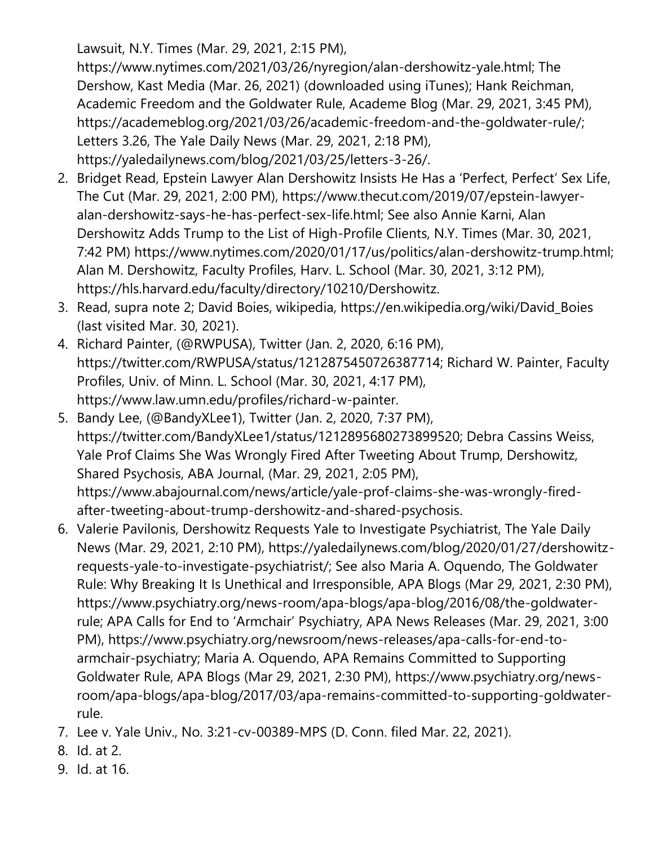Lawsuit, N.Y. Times (Mar. 29, 2021, 2:15 PM),

https://www.nytimes.com/2021/03/26/nyregion/alan-dershowitz-yale.html; The Dershow, Kast Media (Mar. 26, 2021) (downloaded using iTunes); Hank Reichman, Academic Freedom and the Goldwater Rule, Academe Blog (Mar. 29, 2021, 3:45 PM), https://academeblog.org/2021/03/26/academic-freedom-and-the-goldwater-rule/; Letters 3.26, The Yale Daily News (Mar. 29, 2021, 2:18 PM), https://yaledailynews.com/blog/2021/03/25/letters-3-26/.

- 2. Bridget Read, Epstein Lawyer Alan Dershowitz Insists He Has a 'Perfect, Perfect' Sex Life, The Cut (Mar. 29, 2021, 2:00 PM), https://www.thecut.com/2019/07/epstein-lawyeralan-dershowitz-says-he-has-perfect-sex-life.html; See also Annie Karni, Alan Dershowitz Adds Trump to the List of High-Profile Clients, N.Y. Times (Mar. 30, 2021, 7:42 PM) https://www.nytimes.com/2020/01/17/us/politics/alan-dershowitz-trump.html; Alan M. Dershowitz, Faculty Profiles, Harv. L. School (Mar. 30, 2021, 3:12 PM), https://hls.harvard.edu/faculty/directory/10210/Dershowitz.
- 3. Read, supra note 2; David Boies, wikipedia, https://en.wikipedia.org/wiki/David\_Boies (last visited Mar. 30, 2021).
- 4. Richard Painter, (@RWPUSA), Twitter (Jan. 2, 2020, 6:16 PM), https://twitter.com/RWPUSA/status/1212875450726387714; Richard W. Painter, Faculty Profiles, Univ. of Minn. L. School (Mar. 30, 2021, 4:17 PM), https://www.law.umn.edu/profiles/richard-w-painter.
- 5. Bandy Lee, (@BandyXLee1), Twitter (Jan. 2, 2020, 7:37 PM), https://twitter.com/BandyXLee1/status/1212895680273899520; Debra Cassins Weiss, Yale Prof Claims She Was Wrongly Fired After Tweeting About Trump, Dershowitz, Shared Psychosis, ABA Journal, (Mar. 29, 2021, 2:05 PM), https://www.abajournal.com/news/article/yale-prof-claims-she-was-wrongly-firedafter-tweeting-about-trump-dershowitz-and-shared-psychosis.
- 6. Valerie Pavilonis, Dershowitz Requests Yale to Investigate Psychiatrist, The Yale Daily News (Mar. 29, 2021, 2:10 PM), https://yaledailynews.com/blog/2020/01/27/dershowitzrequests-yale-to-investigate-psychiatrist/; See also Maria A. Oquendo, The Goldwater Rule: Why Breaking It Is Unethical and Irresponsible, APA Blogs (Mar 29, 2021, 2:30 PM), https://www.psychiatry.org/news-room/apa-blogs/apa-blog/2016/08/the-goldwaterrule; APA Calls for End to 'Armchair' Psychiatry, APA News Releases (Mar. 29, 2021, 3:00 PM), https://www.psychiatry.org/newsroom/news-releases/apa-calls-for-end-toarmchair-psychiatry; Maria A. Oquendo, APA Remains Committed to Supporting Goldwater Rule, APA Blogs (Mar 29, 2021, 2:30 PM), https://www.psychiatry.org/newsroom/apa-blogs/apa-blog/2017/03/apa-remains-committed-to-supporting-goldwaterrule.
- 7. Lee v. Yale Univ., No. 3:21-cv-00389-MPS (D. Conn. filed Mar. 22, 2021).
- 8. Id. at 2.
- 9. Id. at 16.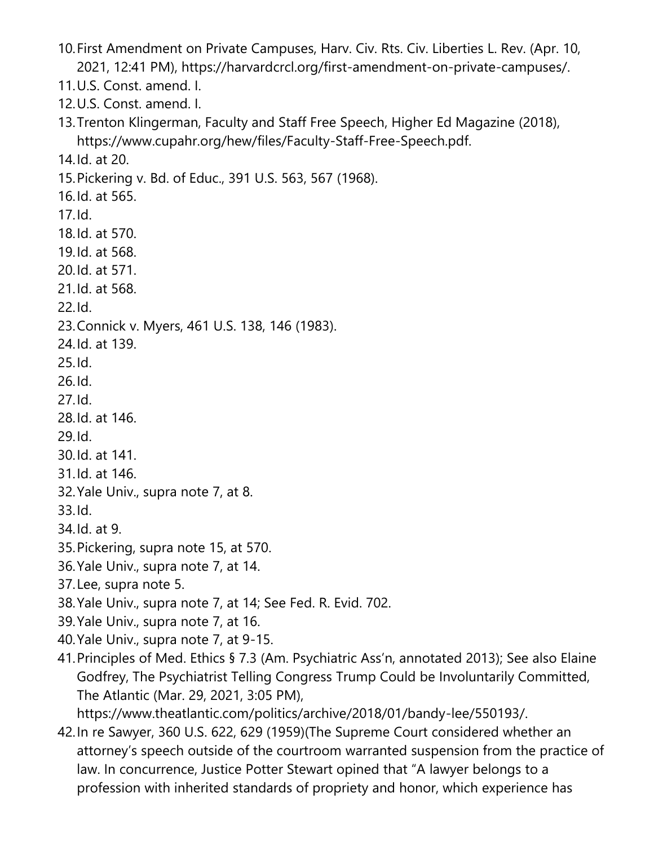10.First Amendment on Private Campuses, Harv. Civ. Rts. Civ. Liberties L. Rev. (Apr. 10, 2021, 12:41 PM), https://harvardcrcl.org/first-amendment-on-private-campuses/. 11.U.S. Const. amend. I. 12.U.S. Const. amend. I. 13.Trenton Klingerman, Faculty and Staff Free Speech, Higher Ed Magazine (2018), https://www.cupahr.org/hew/files/Faculty-Staff-Free-Speech.pdf. 14.Id. at 20. 15.Pickering v. Bd. of Educ., 391 U.S. 563, 567 (1968). 16.Id. at 565. 17.Id. 18.Id. at 570. 19.Id. at 568. 20.Id. at 571. 21.Id. at 568. 22.Id. 23.Connick v. Myers, 461 U.S. 138, 146 (1983). 24.Id. at 139. 25.Id. 26.Id. 27.Id. 28.Id. at 146. 29.Id. 30.Id. at 141. 31.Id. at 146. 32.Yale Univ., supra note 7, at 8. 33.Id. 34.Id. at 9. 35.Pickering, supra note 15, at 570. 36.Yale Univ., supra note 7, at 14. 37.Lee, supra note 5. 38.Yale Univ., supra note 7, at 14; See Fed. R. Evid. 702. 39.Yale Univ., supra note 7, at 16. 40.Yale Univ., supra note 7, at 9-15.

41.Principles of Med. Ethics § 7.3 (Am. Psychiatric Ass'n, annotated 2013); See also Elaine Godfrey, The Psychiatrist Telling Congress Trump Could be Involuntarily Committed, The Atlantic (Mar. 29, 2021, 3:05 PM),

https://www.theatlantic.com/politics/archive/2018/01/bandy-lee/550193/.

42.In re Sawyer, 360 U.S. 622, 629 (1959)(The Supreme Court considered whether an attorney's speech outside of the courtroom warranted suspension from the practice of law. In concurrence, Justice Potter Stewart opined that "A lawyer belongs to a profession with inherited standards of propriety and honor, which experience has